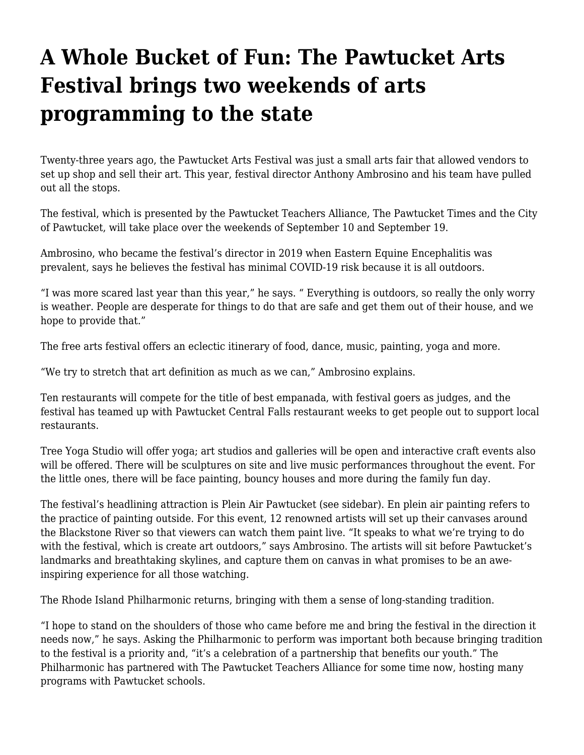## **[A Whole Bucket of Fun: The Pawtucket Arts](https://motifri.com/pawtucketarts2021/) [Festival brings two weekends of arts](https://motifri.com/pawtucketarts2021/) [programming to the state](https://motifri.com/pawtucketarts2021/)**

Twenty-three years ago, the Pawtucket Arts Festival was just a small arts fair that allowed vendors to set up shop and sell their art. This year, festival director Anthony Ambrosino and his team have pulled out all the stops.

The festival, which is presented by the Pawtucket Teachers Alliance, The Pawtucket Times and the City of Pawtucket, will take place over the weekends of September 10 and September 19.

Ambrosino, who became the festival's director in 2019 when Eastern Equine Encephalitis was prevalent, says he believes the festival has minimal COVID-19 risk because it is all outdoors.

"I was more scared last year than this year," he says. " Everything is outdoors, so really the only worry is weather. People are desperate for things to do that are safe and get them out of their house, and we hope to provide that."

The free arts festival offers an eclectic itinerary of food, dance, music, painting, yoga and more.

"We try to stretch that art definition as much as we can," Ambrosino explains.

Ten restaurants will compete for the title of best empanada, with festival goers as judges, and the festival has teamed up with Pawtucket Central Falls restaurant weeks to get people out to support local restaurants.

Tree Yoga Studio will offer yoga; art studios and galleries will be open and interactive craft events also will be offered. There will be sculptures on site and live music performances throughout the event. For the little ones, there will be face painting, bouncy houses and more during the family fun day.

The festival's headlining attraction is Plein Air Pawtucket (see sidebar). En plein air painting refers to the practice of painting outside. For this event, 12 renowned artists will set up their canvases around the Blackstone River so that viewers can watch them paint live. "It speaks to what we're trying to do with the festival, which is create art outdoors," says Ambrosino. The artists will sit before Pawtucket's landmarks and breathtaking skylines, and capture them on canvas in what promises to be an aweinspiring experience for all those watching.

The Rhode Island Philharmonic returns, bringing with them a sense of long-standing tradition.

"I hope to stand on the shoulders of those who came before me and bring the festival in the direction it needs now," he says. Asking the Philharmonic to perform was important both because bringing tradition to the festival is a priority and, "it's a celebration of a partnership that benefits our youth." The Philharmonic has partnered with The Pawtucket Teachers Alliance for some time now, hosting many programs with Pawtucket schools.